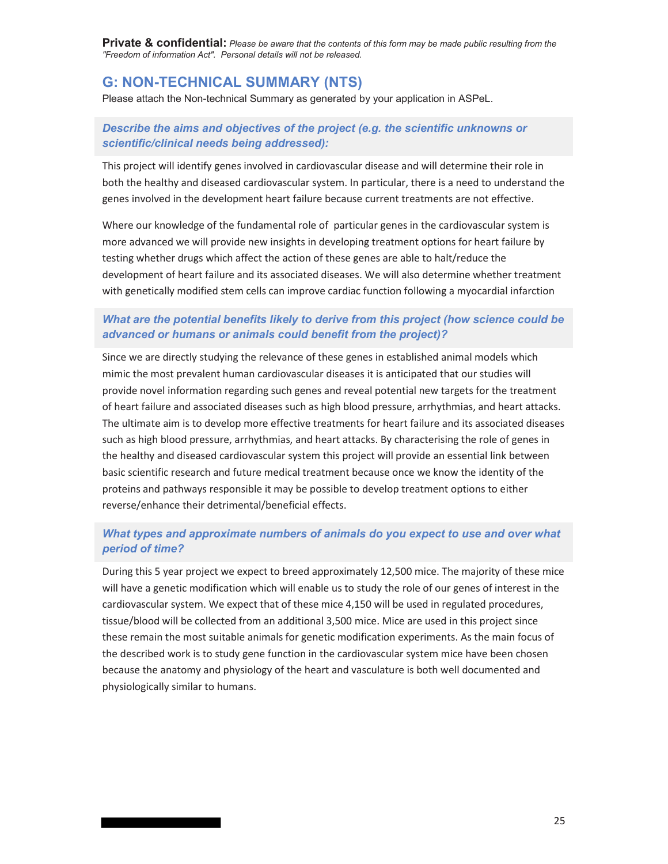**Private & confidential:** *Please be aware that the contents of this form may be made public resulting from the "Freedom of information Act". Personal details will not be released.* 

# **G: NON-TECHNICAL SUMMARY (NTS)**

Please attach the Non-technical Summary as generated by your application in ASPeL.

# *Describe the aims and objectives of the project (e.g. the scientific unknowns or scientific/clinical needs being addressed):*

This project will identify genes involved in cardiovascular disease and will determine their role in both the healthy and diseased cardiovascular system. In particular, there is a need to understand the genes involved in the development heart failure because current treatments are not effective.

Where our knowledge of the fundamental role of particular genes in the cardiovascular system is more advanced we will provide new insights in developing treatment options for heart failure by testing whether drugs which affect the action of these genes are able to halt/reduce the development of heart failure and its associated diseases. We will also determine whether treatment with genetically modified stem cells can improve cardiac function following a myocardial infarction

# *What are the potential benefits likely to derive from this project (how science could be advanced or humans or animals could benefit from the project)?*

Since we are directly studying the relevance of these genes in established animal models which mimic the most prevalent human cardiovascular diseases it is anticipated that our studies will provide novel information regarding such genes and reveal potential new targets for the treatment of heart failure and associated diseases such as high blood pressure, arrhythmias, and heart attacks. The ultimate aim is to develop more effective treatments for heart failure and its associated diseases such as high blood pressure, arrhythmias, and heart attacks. By characterising the role of genes in the healthy and diseased cardiovascular system this project will provide an essential link between basic scientific research and future medical treatment because once we know the identity of the proteins and pathways responsible it may be possible to develop treatment options to either reverse/enhance their detrimental/beneficial effects.

# *What types and approximate numbers of animals do you expect to use and over what period of time?*

During this 5 year project we expect to breed approximately 12,500 mice. The majority of these mice will have a genetic modification which will enable us to study the role of our genes of interest in the cardiovascular system. We expect that of these mice 4,150 will be used in regulated procedures, tissue/blood will be collected from an additional 3,500 mice. Mice are used in this project since these remain the most suitable animals for genetic modification experiments. As the main focus of the described work is to study gene function in the cardiovascular system mice have been chosen because the anatomy and physiology of the heart and vasculature is both well documented and physiologically similar to humans.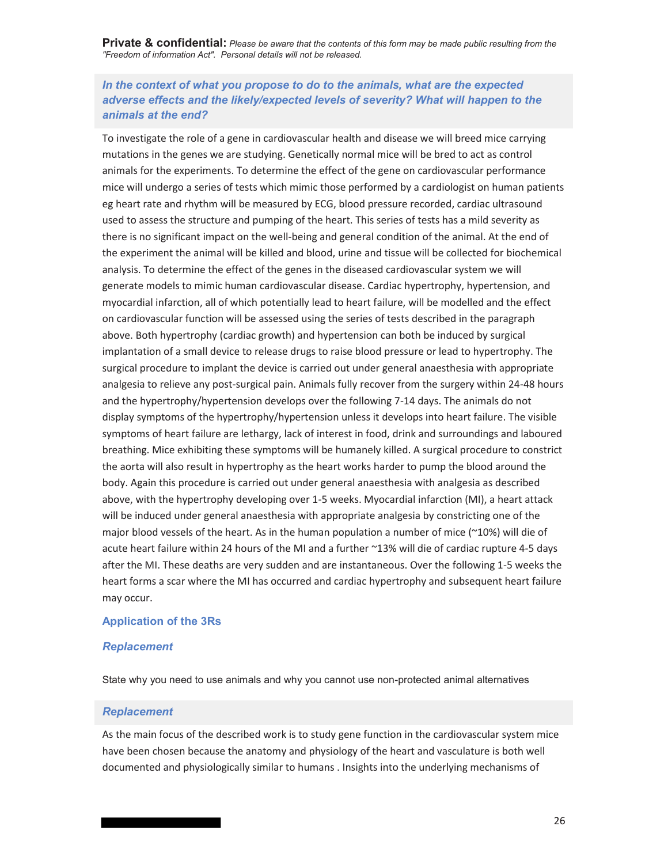**Private & confidential:** *Please be aware that the contents of this form may be made public resulting from the "Freedom of information Act". Personal details will not be released.* 

# *In the context of what you propose to do to the animals, what are the expected adverse effects and the likely/expected levels of severity? What will happen to the animals at the end?*

To investigate the role of a gene in cardiovascular health and disease we will breed mice carrying mutations in the genes we are studying. Genetically normal mice will be bred to act as control animals for the experiments. To determine the effect of the gene on cardiovascular performance mice will undergo a series of tests which mimic those performed by a cardiologist on human patients eg heart rate and rhythm will be measured by ECG, blood pressure recorded, cardiac ultrasound used to assess the structure and pumping of the heart. This series of tests has a mild severity as there is no significant impact on the well-being and general condition of the animal. At the end of the experiment the animal will be killed and blood, urine and tissue will be collected for biochemical analysis. To determine the effect of the genes in the diseased cardiovascular system we will generate models to mimic human cardiovascular disease. Cardiac hypertrophy, hypertension, and myocardial infarction, all of which potentially lead to heart failure, will be modelled and the effect on cardiovascular function will be assessed using the series of tests described in the paragraph above. Both hypertrophy (cardiac growth) and hypertension can both be induced by surgical implantation of a small device to release drugs to raise blood pressure or lead to hypertrophy. The surgical procedure to implant the device is carried out under general anaesthesia with appropriate analgesia to relieve any post-surgical pain. Animals fully recover from the surgery within 24-48 hours and the hypertrophy/hypertension develops over the following 7-14 days. The animals do not display symptoms of the hypertrophy/hypertension unless it develops into heart failure. The visible symptoms of heart failure are lethargy, lack of interest in food, drink and surroundings and laboured breathing. Mice exhibiting these symptoms will be humanely killed. A surgical procedure to constrict the aorta will also result in hypertrophy as the heart works harder to pump the blood around the body. Again this procedure is carried out under general anaesthesia with analgesia as described above, with the hypertrophy developing over 1-5 weeks. Myocardial infarction (MI), a heart attack will be induced under general anaesthesia with appropriate analgesia by constricting one of the major blood vessels of the heart. As in the human population a number of mice (~10%) will die of acute heart failure within 24 hours of the MI and a further ~13% will die of cardiac rupture 4-5 days after the MI. These deaths are very sudden and are instantaneous. Over the following 1-5 weeks the heart forms a scar where the MI has occurred and cardiac hypertrophy and subsequent heart failure may occur.

#### **Application of the 3Rs**

### *Replacement*

State why you need to use animals and why you cannot use non-protected animal alternatives

### *Replacement*

As the main focus of the described work is to study gene function in the cardiovascular system mice have been chosen because the anatomy and physiology of the heart and vasculature is both well documented and physiologically similar to humans . Insights into the underlying mechanisms of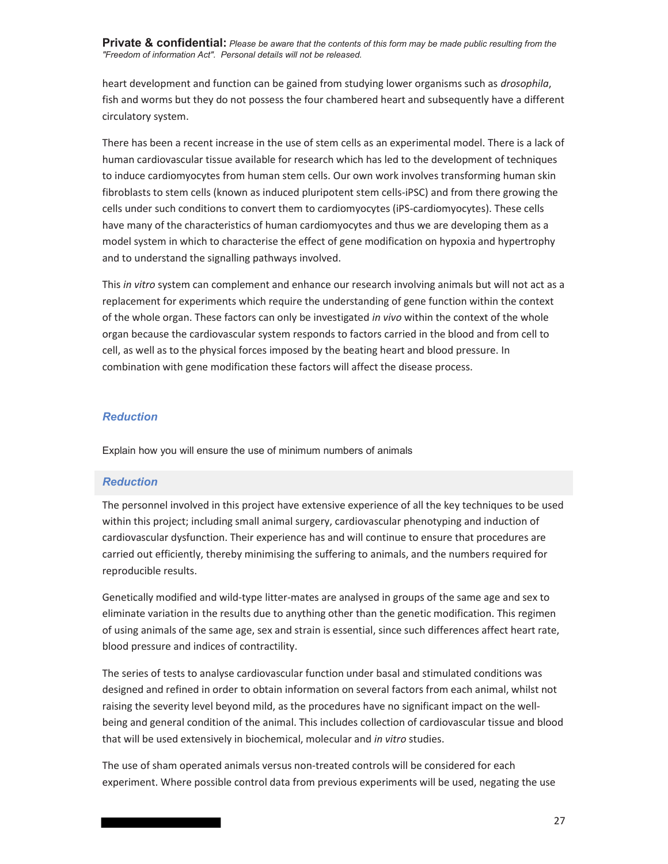**Private & confidential:** *Please be aware that the contents of this form may be made public resulting from the "Freedom of information Act". Personal details will not be released.* 

heart development and function can be gained from studying lower organisms such as *drosophila*, fish and worms but they do not possess the four chambered heart and subsequently have a different circulatory system.

There has been a recent increase in the use of stem cells as an experimental model. There is a lack of human cardiovascular tissue available for research which has led to the development of techniques to induce cardiomyocytes from human stem cells. Our own work involves transforming human skin fibroblasts to stem cells (known as induced pluripotent stem cells-iPSC) and from there growing the cells under such conditions to convert them to cardiomyocytes (iPS-cardiomyocytes). These cells have many of the characteristics of human cardiomyocytes and thus we are developing them as a model system in which to characterise the effect of gene modification on hypoxia and hypertrophy and to understand the signalling pathways involved.

This *in vitro* system can complement and enhance our research involving animals but will not act as a replacement for experiments which require the understanding of gene function within the context of the whole organ. These factors can only be investigated *in vivo* within the context of the whole organ because the cardiovascular system responds to factors carried in the blood and from cell to cell, as well as to the physical forces imposed by the beating heart and blood pressure. In combination with gene modification these factors will affect the disease process.

#### *Reduction*

Explain how you will ensure the use of minimum numbers of animals

#### *Reduction*

The personnel involved in this project have extensive experience of all the key techniques to be used within this project; including small animal surgery, cardiovascular phenotyping and induction of cardiovascular dysfunction. Their experience has and will continue to ensure that procedures are carried out efficiently, thereby minimising the suffering to animals, and the numbers required for reproducible results.

Genetically modified and wild-type litter-mates are analysed in groups of the same age and sex to eliminate variation in the results due to anything other than the genetic modification. This regimen of using animals of the same age, sex and strain is essential, since such differences affect heart rate, blood pressure and indices of contractility.

The series of tests to analyse cardiovascular function under basal and stimulated conditions was designed and refined in order to obtain information on several factors from each animal, whilst not raising the severity level beyond mild, as the procedures have no significant impact on the wellbeing and general condition of the animal. This includes collection of cardiovascular tissue and blood that will be used extensively in biochemical, molecular and *in vitro* studies.

The use of sham operated animals versus non-treated controls will be considered for each experiment. Where possible control data from previous experiments will be used, negating the use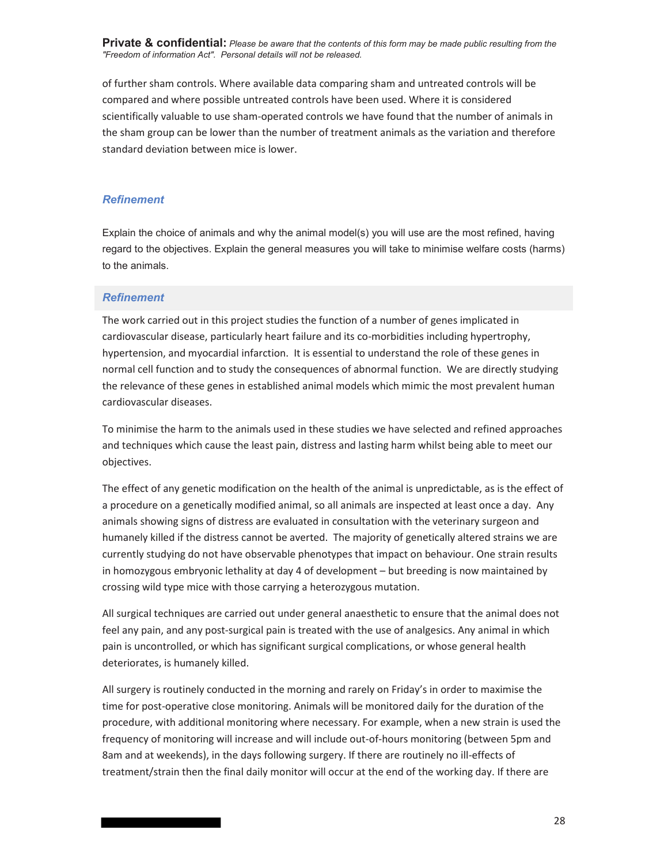**Private & confidential:** *Please be aware that the contents of this form may be made public resulting from the "Freedom of information Act". Personal details will not be released.* 

of further sham controls. Where available data comparing sham and untreated controls will be compared and where possible untreated controls have been used. Where it is considered scientifically valuable to use sham-operated controls we have found that the number of animals in the sham group can be lower than the number of treatment animals as the variation and therefore standard deviation between mice is lower.

#### *Refinement*

Explain the choice of animals and why the animal model(s) you will use are the most refined, having regard to the objectives. Explain the general measures you will take to minimise welfare costs (harms) to the animals.

#### *Refinement*

The work carried out in this project studies the function of a number of genes implicated in cardiovascular disease, particularly heart failure and its co-morbidities including hypertrophy, hypertension, and myocardial infarction. It is essential to understand the role of these genes in normal cell function and to study the consequences of abnormal function. We are directly studying the relevance of these genes in established animal models which mimic the most prevalent human cardiovascular diseases.

To minimise the harm to the animals used in these studies we have selected and refined approaches and techniques which cause the least pain, distress and lasting harm whilst being able to meet our objectives.

The effect of any genetic modification on the health of the animal is unpredictable, as is the effect of a procedure on a genetically modified animal, so all animals are inspected at least once a day. Any animals showing signs of distress are evaluated in consultation with the veterinary surgeon and humanely killed if the distress cannot be averted. The majority of genetically altered strains we are currently studying do not have observable phenotypes that impact on behaviour. One strain results in homozygous embryonic lethality at day 4 of development – but breeding is now maintained by crossing wild type mice with those carrying a heterozygous mutation.

All surgical techniques are carried out under general anaesthetic to ensure that the animal does not feel any pain, and any post-surgical pain is treated with the use of analgesics. Any animal in which pain is uncontrolled, or which has significant surgical complications, or whose general health deteriorates, is humanely killed.

All surgery is routinely conducted in the morning and rarely on Friday's in order to maximise the time for post-operative close monitoring. Animals will be monitored daily for the duration of the procedure, with additional monitoring where necessary. For example, when a new strain is used the frequency of monitoring will increase and will include out-of-hours monitoring (between 5pm and 8am and at weekends), in the days following surgery. If there are routinely no ill-effects of treatment/strain then the final daily monitor will occur at the end of the working day. If there are